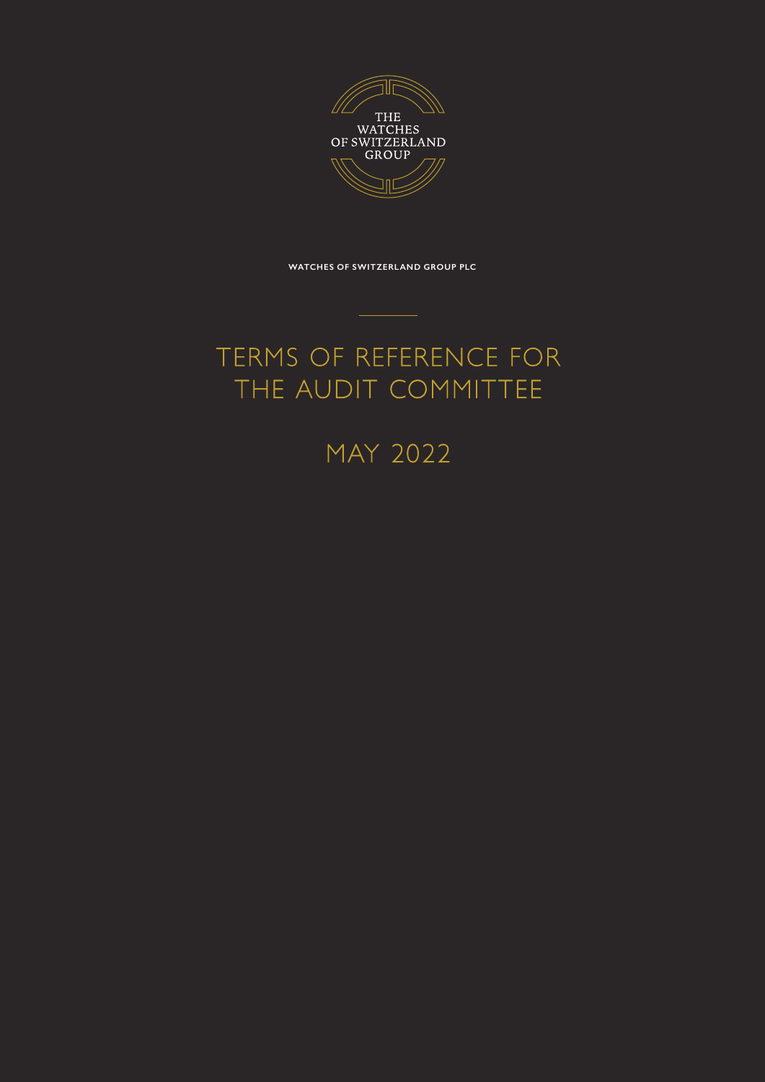

**WATCHES OF SWITZERLAND GROUP PLC**

## TERMS OF REFERENCE FOR THE AUDIT COMMITTEE

MAY 2022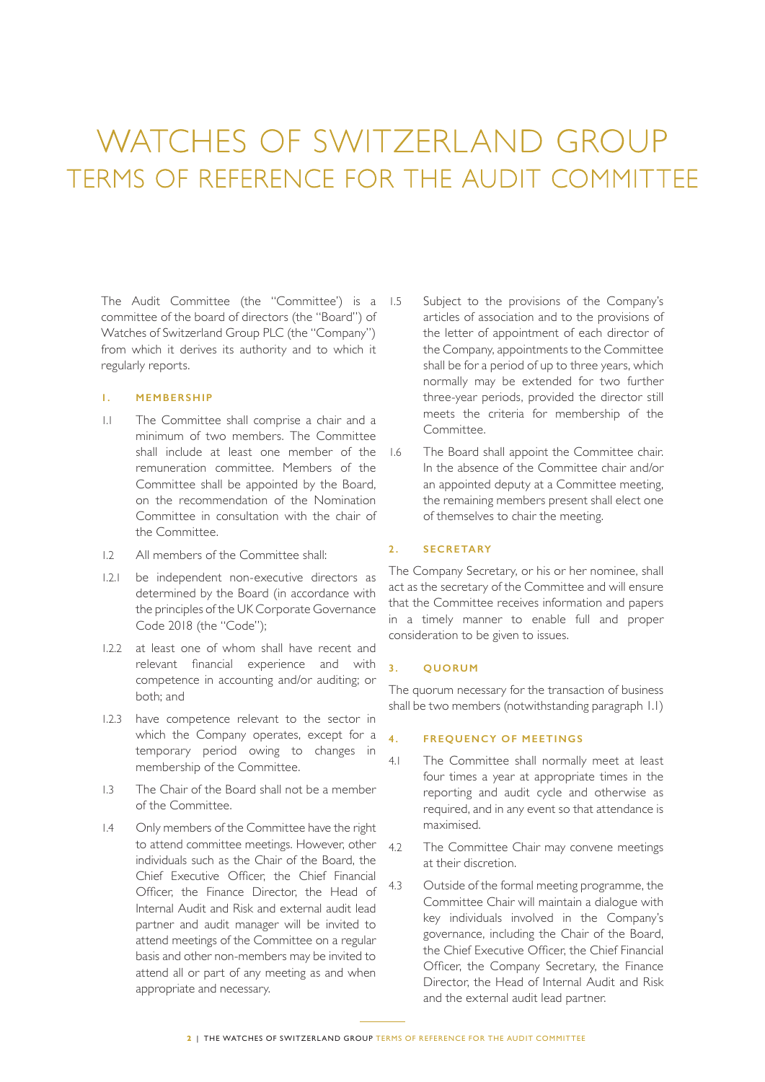# WATCHES OF SWITZERLAND GROUP TERMS OF REFERENCE FOR THE AUDIT COMMITTEE

The Audit Committee (the "Committee') is a 1.5 committee of the board of directors (the "Board") of Watches of Switzerland Group PLC (the "Company") from which it derives its authority and to which it regularly reports.

## **1. MEMBERSHIP**

- 1.1 The Committee shall comprise a chair and a minimum of two members. The Committee shall include at least one member of the remuneration committee. Members of the Committee shall be appointed by the Board, on the recommendation of the Nomination Committee in consultation with the chair of the Committee.
- 1.2 All members of the Committee shall:
- 1.2.1 be independent non-executive directors as determined by the Board (in accordance with the principles of the UK Corporate Governance Code 2018 (the "Code");
- 1.2.2 at least one of whom shall have recent and relevant financial experience and with competence in accounting and/or auditing; or both; and
- 1.2.3 have competence relevant to the sector in which the Company operates, except for a temporary period owing to changes in membership of the Committee.
- 1.3 The Chair of the Board shall not be a member of the Committee.
- 1.4 Only members of the Committee have the right to attend committee meetings. However, other individuals such as the Chair of the Board, the Chief Executive Officer, the Chief Financial Officer, the Finance Director, the Head of Internal Audit and Risk and external audit lead partner and audit manager will be invited to attend meetings of the Committee on a regular basis and other non-members may be invited to attend all or part of any meeting as and when appropriate and necessary.
- Subject to the provisions of the Company's articles of association and to the provisions of the letter of appointment of each director of the Company, appointments to the Committee shall be for a period of up to three years, which normally may be extended for two further three-year periods, provided the director still meets the criteria for membership of the Committee.
- The Board shall appoint the Committee chair. In the absence of the Committee chair and/or an appointed deputy at a Committee meeting, the remaining members present shall elect one of themselves to chair the meeting.

## **2 . SECRETARY**

The Company Secretary, or his or her nominee, shall act as the secretary of the Committee and will ensure that the Committee receives information and papers in a timely manner to enable full and proper consideration to be given to issues.

#### **3. QUORUM**

The quorum necessary for the transaction of business shall be two members (notwithstanding paragraph 1.1)

## **4. FREQUENCY OF MEETINGS**

- 4.1 The Committee shall normally meet at least four times a year at appropriate times in the reporting and audit cycle and otherwise as required, and in any event so that attendance is maximised.
- 4.2 The Committee Chair may convene meetings at their discretion.
- 4.3 Outside of the formal meeting programme, the Committee Chair will maintain a dialogue with key individuals involved in the Company's governance, including the Chair of the Board, the Chief Executive Officer, the Chief Financial Officer, the Company Secretary, the Finance Director, the Head of Internal Audit and Risk and the external audit lead partner.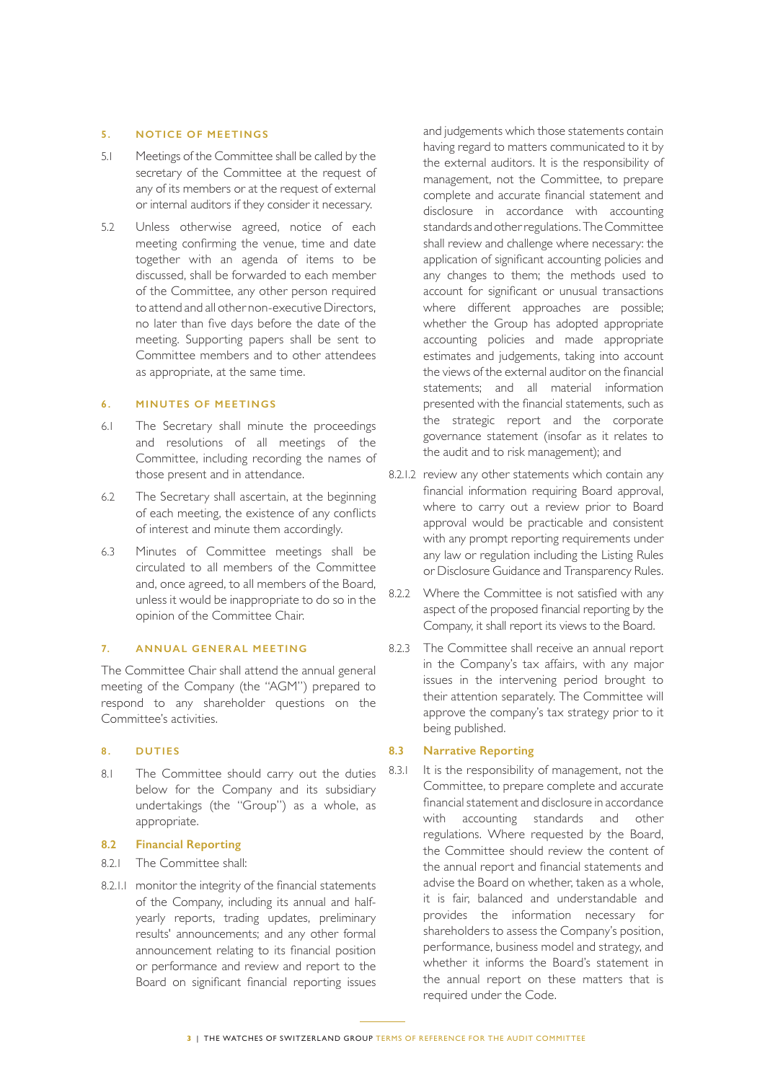## **5. NOTICE OF MEETINGS**

- 5.1 Meetings of the Committee shall be called by the secretary of the Committee at the request of any of its members or at the request of external or internal auditors if they consider it necessary.
- 5.2 Unless otherwise agreed, notice of each meeting confirming the venue, time and date together with an agenda of items to be discussed, shall be forwarded to each member of the Committee, any other person required to attend and all other non-executive Directors, no later than five days before the date of the meeting. Supporting papers shall be sent to Committee members and to other attendees as appropriate, at the same time.

## **6. MINUTES OF MEETINGS**

- 6.1 The Secretary shall minute the proceedings and resolutions of all meetings of the Committee, including recording the names of those present and in attendance.
- 6.2 The Secretary shall ascertain, at the beginning of each meeting, the existence of any conflicts of interest and minute them accordingly.
- 6.3 Minutes of Committee meetings shall be circulated to all members of the Committee and, once agreed, to all members of the Board, unless it would be inappropriate to do so in the opinion of the Committee Chair.

## **7. ANNUAL GENERAL MEETING**

The Committee Chair shall attend the annual general meeting of the Company (the "AGM") prepared to respond to any shareholder questions on the Committee's activities.

## **8. DUTIES**

8.1 The Committee should carry out the duties below for the Company and its subsidiary undertakings (the "Group") as a whole, as appropriate.

#### **8.2 Financial Reporting**

- 8.2.1 The Committee shall:
- 8.2.1.1 monitor the integrity of the financial statements of the Company, including its annual and halfyearly reports, trading updates, preliminary results' announcements; and any other formal announcement relating to its financial position or performance and review and report to the Board on significant financial reporting issues

and judgements which those statements contain having regard to matters communicated to it by the external auditors. It is the responsibility of management, not the Committee, to prepare complete and accurate financial statement and disclosure in accordance with accounting standards and other regulations. The Committee shall review and challenge where necessary: the application of significant accounting policies and any changes to them; the methods used to account for significant or unusual transactions where different approaches are possible; whether the Group has adopted appropriate accounting policies and made appropriate estimates and judgements, taking into account the views of the external auditor on the financial statements; and all material information presented with the financial statements, such as the strategic report and the corporate governance statement (insofar as it relates to the audit and to risk management); and

- 8.2.1.2 review any other statements which contain any financial information requiring Board approval, where to carry out a review prior to Board approval would be practicable and consistent with any prompt reporting requirements under any law or regulation including the Listing Rules or Disclosure Guidance and Transparency Rules.
- 8.2.2 Where the Committee is not satisfied with any aspect of the proposed financial reporting by the Company, it shall report its views to the Board.
- 8.2.3 The Committee shall receive an annual report in the Company's tax affairs, with any major issues in the intervening period brought to their attention separately. The Committee will approve the company's tax strategy prior to it being published.

## **8.3 Narrative Reporting**

8.3.1 It is the responsibility of management, not the Committee, to prepare complete and accurate financial statement and disclosure in accordance with accounting standards and other regulations. Where requested by the Board, the Committee should review the content of the annual report and financial statements and advise the Board on whether, taken as a whole, it is fair, balanced and understandable and provides the information necessary for shareholders to assess the Company's position, performance, business model and strategy, and whether it informs the Board's statement in the annual report on these matters that is required under the Code.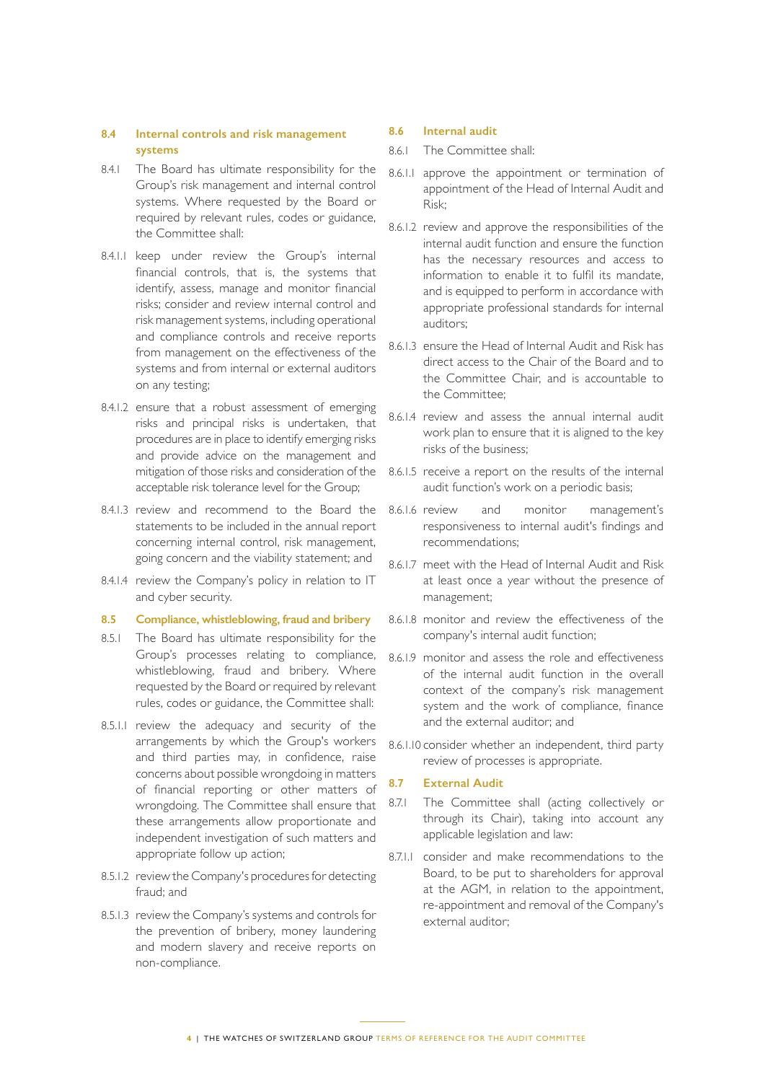## **8.4 Internal controls and risk management systems**

- 8.4.1 The Board has ultimate responsibility for the Group's risk management and internal control systems. Where requested by the Board or required by relevant rules, codes or guidance, the Committee shall:
- 8.4.1.1 keep under review the Group's internal financial controls, that is, the systems that identify, assess, manage and monitor financial risks; consider and review internal control and risk management systems, including operational and compliance controls and receive reports from management on the effectiveness of the systems and from internal or external auditors on any testing;
- 8.4.1.2 ensure that a robust assessment of emerging risks and principal risks is undertaken, that procedures are in place to identify emerging risks and provide advice on the management and mitigation of those risks and consideration of the acceptable risk tolerance level for the Group;
- 8.4.1.3 review and recommend to the Board the statements to be included in the annual report concerning internal control, risk management, going concern and the viability statement; and
- 8.4.1.4 review the Company's policy in relation to IT and cyber security.

#### **8.5 Compliance, whistleblowing, fraud and bribery**

- 8.5.1 The Board has ultimate responsibility for the Group's processes relating to compliance, whistleblowing, fraud and bribery. Where requested by the Board or required by relevant rules, codes or guidance, the Committee shall:
- 8.5.1.1 review the adequacy and security of the arrangements by which the Group's workers and third parties may, in confidence, raise concerns about possible wrongdoing in matters of financial reporting or other matters of wrongdoing. The Committee shall ensure that these arrangements allow proportionate and independent investigation of such matters and appropriate follow up action;
- 8.5.1.2 review the Company's procedures for detecting fraud; and
- 8.5.1.3 review the Company's systems and controls for the prevention of bribery, money laundering and modern slavery and receive reports on non-compliance.

#### **8.6 Internal audit**

- 8.6.1 The Committee shall:
- 8.6.1.1 approve the appointment or termination of appointment of the Head of Internal Audit and Risk;
- 8.6.1.2 review and approve the responsibilities of the internal audit function and ensure the function has the necessary resources and access to information to enable it to fulfil its mandate, and is equipped to perform in accordance with appropriate professional standards for internal auditors;
- 8.6.1.3 ensure the Head of Internal Audit and Risk has direct access to the Chair of the Board and to the Committee Chair, and is accountable to the Committee;
- 8.6.1.4 review and assess the annual internal audit work plan to ensure that it is aligned to the key risks of the business;
- 8.6.1.5 receive a report on the results of the internal audit function's work on a periodic basis;
- 8.6.1.6 review and monitor management's responsiveness to internal audit's findings and recommendations;
- 8.6.1.7 meet with the Head of Internal Audit and Risk at least once a year without the presence of management;
- 8.6.1.8 monitor and review the effectiveness of the company's internal audit function;
- 8.6.1.9 monitor and assess the role and effectiveness of the internal audit function in the overall context of the company's risk management system and the work of compliance, finance and the external auditor; and
- 8.6.1.10 consider whether an independent, third party review of processes is appropriate.

## **8.7 External Audit**

- 8.7.1 The Committee shall (acting collectively or through its Chair), taking into account any applicable legislation and law:
- 8.7.1.1 consider and make recommendations to the Board, to be put to shareholders for approval at the AGM, in relation to the appointment, re-appointment and removal of the Company's external auditor;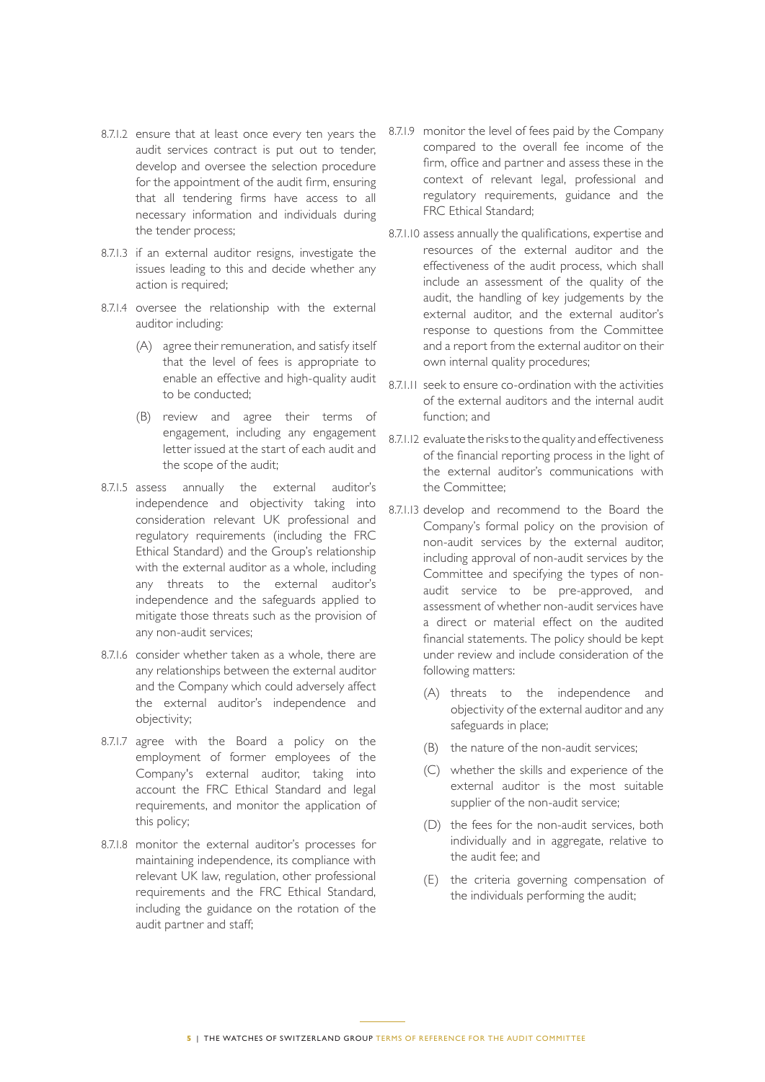- 8.7.1.2 ensure that at least once every ten years the audit services contract is put out to tender, develop and oversee the selection procedure for the appointment of the audit firm, ensuring that all tendering firms have access to all necessary information and individuals during the tender process;
- 8.7.1.3 if an external auditor resigns, investigate the issues leading to this and decide whether any action is required;
- 8.7.1.4 oversee the relationship with the external auditor including:
	- (A) agree their remuneration, and satisfy itself that the level of fees is appropriate to enable an effective and high-quality audit to be conducted;
	- (B) review and agree their terms of engagement, including any engagement letter issued at the start of each audit and the scope of the audit;
- 8.7.1.5 assess annually the external auditor's independence and objectivity taking into consideration relevant UK professional and regulatory requirements (including the FRC Ethical Standard) and the Group's relationship with the external auditor as a whole, including any threats to the external auditor's independence and the safeguards applied to mitigate those threats such as the provision of any non-audit services;
- 8.7.1.6 consider whether taken as a whole, there are any relationships between the external auditor and the Company which could adversely affect the external auditor's independence and objectivity;
- 8.7.1.7 agree with the Board a policy on the employment of former employees of the Company's external auditor, taking into account the FRC Ethical Standard and legal requirements, and monitor the application of this policy;
- 8.7.1.8 monitor the external auditor's processes for maintaining independence, its compliance with relevant UK law, regulation, other professional requirements and the FRC Ethical Standard, including the guidance on the rotation of the audit partner and staff;
- 8.7.1.9 monitor the level of fees paid by the Company compared to the overall fee income of the firm, office and partner and assess these in the context of relevant legal, professional and regulatory requirements, guidance and the FRC Ethical Standard;
- 8.7.1.10 assess annually the qualifications, expertise and resources of the external auditor and the effectiveness of the audit process, which shall include an assessment of the quality of the audit, the handling of key judgements by the external auditor, and the external auditor's response to questions from the Committee and a report from the external auditor on their own internal quality procedures;
- 8.7.1.11 seek to ensure co-ordination with the activities of the external auditors and the internal audit function; and
- 8.7.1.12 evaluate the risks to the quality and effectiveness of the financial reporting process in the light of the external auditor's communications with the Committee;
- 8.7.1.13 develop and recommend to the Board the Company's formal policy on the provision of non-audit services by the external auditor, including approval of non-audit services by the Committee and specifying the types of nonaudit service to be pre-approved, and assessment of whether non-audit services have a direct or material effect on the audited financial statements. The policy should be kept under review and include consideration of the following matters:
	- (A) threats to the independence and objectivity of the external auditor and any safeguards in place;
	- (B) the nature of the non-audit services;
	- (C) whether the skills and experience of the external auditor is the most suitable supplier of the non-audit service;
	- (D) the fees for the non-audit services, both individually and in aggregate, relative to the audit fee; and
	- (E) the criteria governing compensation of the individuals performing the audit;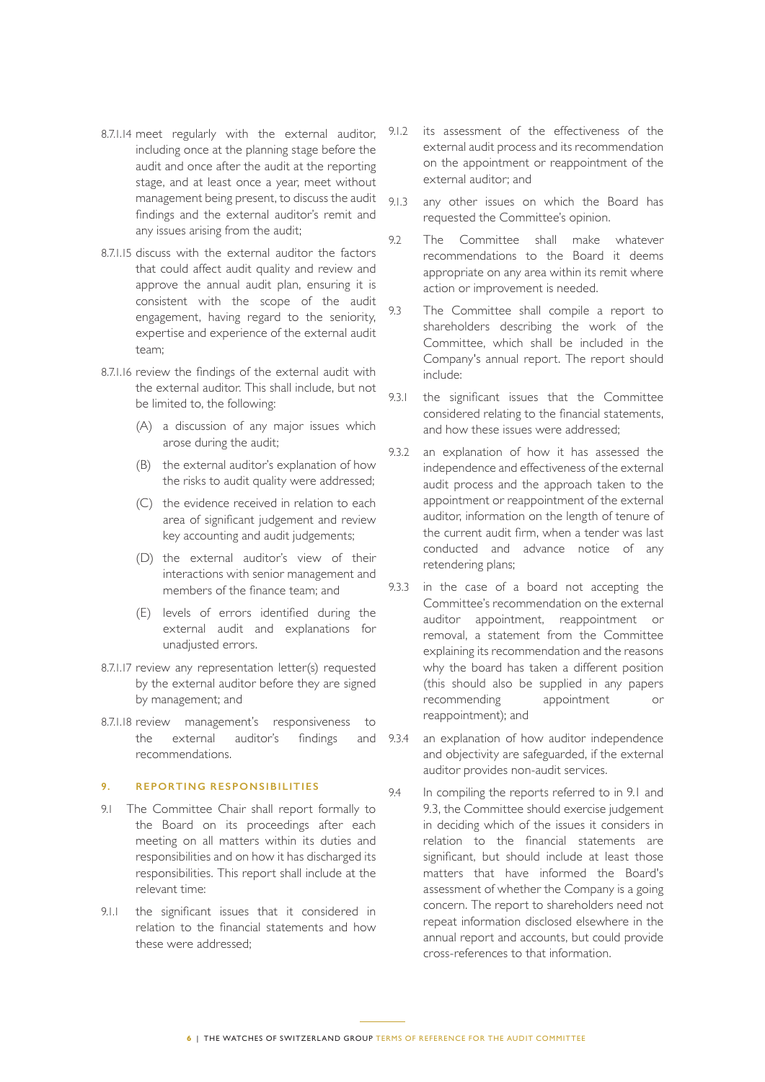- 8.7.1.14 meet regularly with the external auditor, including once at the planning stage before the audit and once after the audit at the reporting stage, and at least once a year, meet without management being present, to discuss the audit findings and the external auditor's remit and any issues arising from the audit;
- 8.7.1.15 discuss with the external auditor the factors that could affect audit quality and review and approve the annual audit plan, ensuring it is consistent with the scope of the audit engagement, having regard to the seniority, expertise and experience of the external audit team;
- 8.7.1.16 review the findings of the external audit with the external auditor. This shall include, but not be limited to, the following:
	- (A) a discussion of any major issues which arose during the audit;
	- (B) the external auditor's explanation of how the risks to audit quality were addressed;
	- (C) the evidence received in relation to each area of significant judgement and review key accounting and audit judgements;
	- (D) the external auditor's view of their interactions with senior management and members of the finance team; and
	- (E) levels of errors identified during the external audit and explanations for unadjusted errors.
- 8.7.1.17 review any representation letter(s) requested by the external auditor before they are signed by management; and
- 8.7.1.18 review management's responsiveness to the external auditor's findings and recommendations.

#### **9. REPORTING RESPONSIBILITIES**

- 9.1 The Committee Chair shall report formally to the Board on its proceedings after each meeting on all matters within its duties and responsibilities and on how it has discharged its responsibilities. This report shall include at the relevant time:
- 9.1.1 the significant issues that it considered in relation to the financial statements and how these were addressed;
- 9.1.2 its assessment of the effectiveness of the external audit process and its recommendation on the appointment or reappointment of the external auditor; and
- 9.1.3 any other issues on which the Board has requested the Committee's opinion.
- 9.2 The Committee shall make whatever recommendations to the Board it deems appropriate on any area within its remit where action or improvement is needed.
- 9.3 The Committee shall compile a report to shareholders describing the work of the Committee, which shall be included in the Company's annual report. The report should include:
- 9.3.1 the significant issues that the Committee considered relating to the financial statements, and how these issues were addressed;
- 9.3.2 an explanation of how it has assessed the independence and effectiveness of the external audit process and the approach taken to the appointment or reappointment of the external auditor, information on the length of tenure of the current audit firm, when a tender was last conducted and advance notice of any retendering plans;
- 9.3.3 in the case of a board not accepting the Committee's recommendation on the external auditor appointment, reappointment or removal, a statement from the Committee explaining its recommendation and the reasons why the board has taken a different position (this should also be supplied in any papers recommending appointment or reappointment); and
- 9.3.4 an explanation of how auditor independence and objectivity are safeguarded, if the external auditor provides non-audit services.
- 9.4 In compiling the reports referred to in 9.1 and 9.3, the Committee should exercise judgement in deciding which of the issues it considers in relation to the financial statements are significant, but should include at least those matters that have informed the Board's assessment of whether the Company is a going concern. The report to shareholders need not repeat information disclosed elsewhere in the annual report and accounts, but could provide cross-references to that information.